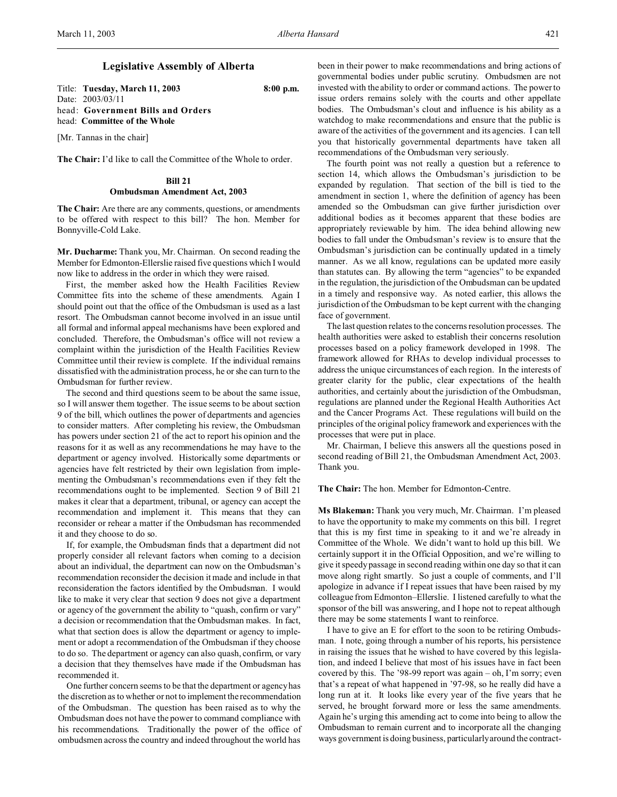## **Legislative Assembly of Alberta**

Title: **Tuesday, March 11, 2003 8:00 p.m.** Date: 2003/03/11 head: **Government Bills and Orders** head: **Committee of the Whole**

[Mr. Tannas in the chair]

**The Chair:** I'd like to call the Committee of the Whole to order.

# **Bill 21 Ombudsman Amendment Act, 2003**

**The Chair:** Are there are any comments, questions, or amendments to be offered with respect to this bill? The hon. Member for Bonnyville-Cold Lake.

**Mr. Ducharme:** Thank you, Mr. Chairman. On second reading the Member for Edmonton-Ellerslie raised five questions which I would now like to address in the order in which they were raised.

First, the member asked how the Health Facilities Review Committee fits into the scheme of these amendments. Again I should point out that the office of the Ombudsman is used as a last resort. The Ombudsman cannot become involved in an issue until all formal and informal appeal mechanisms have been explored and concluded. Therefore, the Ombudsman's office will not review a complaint within the jurisdiction of the Health Facilities Review Committee until their review is complete. If the individual remains dissatisfied with the administration process, he or she can turn to the Ombudsman for further review.

The second and third questions seem to be about the same issue, so I will answer them together. The issue seems to be about section 9 of the bill, which outlines the power of departments and agencies to consider matters. After completing his review, the Ombudsman has powers under section 21 of the act to report his opinion and the reasons for it as well as any recommendations he may have to the department or agency involved. Historically some departments or agencies have felt restricted by their own legislation from implementing the Ombudsman's recommendations even if they felt the recommendations ought to be implemented. Section 9 of Bill 21 makes it clear that a department, tribunal, or agency can accept the recommendation and implement it. This means that they can reconsider or rehear a matter if the Ombudsman has recommended it and they choose to do so.

If, for example, the Ombudsman finds that a department did not properly consider all relevant factors when coming to a decision about an individual, the department can now on the Ombudsman's recommendation reconsider the decision it made and include in that reconsideration the factors identified by the Ombudsman. I would like to make it very clear that section 9 does not give a department or agency of the government the ability to "quash, confirm or vary" a decision or recommendation that the Ombudsman makes. In fact, what that section does is allow the department or agency to implement or adopt a recommendation of the Ombudsman if they choose to do so. The department or agency can also quash, confirm, or vary a decision that they themselves have made if the Ombudsman has recommended it.

One further concern seems to be that the department or agency has the discretion as to whether or not to implement the recommendation of the Ombudsman. The question has been raised as to why the Ombudsman does not have the power to command compliance with his recommendations. Traditionally the power of the office of ombudsmen across the country and indeed throughout the world has

been in their power to make recommendations and bring actions of governmental bodies under public scrutiny. Ombudsmen are not invested with the ability to order or command actions. The power to issue orders remains solely with the courts and other appellate bodies. The Ombudsman's clout and influence is his ability as a watchdog to make recommendations and ensure that the public is aware of the activities of the government and its agencies. I can tell you that historically governmental departments have taken all recommendations of the Ombudsman very seriously.

The fourth point was not really a question but a reference to section 14, which allows the Ombudsman's jurisdiction to be expanded by regulation. That section of the bill is tied to the amendment in section 1, where the definition of agency has been amended so the Ombudsman can give further jurisdiction over additional bodies as it becomes apparent that these bodies are appropriately reviewable by him. The idea behind allowing new bodies to fall under the Ombudsman's review is to ensure that the Ombudsman's jurisdiction can be continually updated in a timely manner. As we all know, regulations can be updated more easily than statutes can. By allowing the term "agencies" to be expanded in the regulation, the jurisdiction of the Ombudsman can be updated in a timely and responsive way. As noted earlier, this allows the jurisdiction of the Ombudsman to be kept current with the changing face of government.

The last question relates to the concerns resolution processes. The health authorities were asked to establish their concerns resolution processes based on a policy framework developed in 1998. The framework allowed for RHAs to develop individual processes to address the unique circumstances of each region. In the interests of greater clarity for the public, clear expectations of the health authorities, and certainly about the jurisdiction of the Ombudsman, regulations are planned under the Regional Health Authorities Act and the Cancer Programs Act. These regulations will build on the principles of the original policy framework and experiences with the processes that were put in place.

Mr. Chairman, I believe this answers all the questions posed in second reading of Bill 21, the Ombudsman Amendment Act, 2003. Thank you.

**The Chair:** The hon. Member for Edmonton-Centre.

**Ms Blakeman:** Thank you very much, Mr. Chairman. I'm pleased to have the opportunity to make my comments on this bill. I regret that this is my first time in speaking to it and we're already in Committee of the Whole. We didn't want to hold up this bill. We certainly support it in the Official Opposition, and we're willing to give it speedy passage in second reading within one day so that it can move along right smartly. So just a couple of comments, and I'll apologize in advance if I repeat issues that have been raised by my colleague from Edmonton–Ellerslie. I listened carefully to what the sponsor of the bill was answering, and I hope not to repeat although there may be some statements I want to reinforce.

I have to give an E for effort to the soon to be retiring Ombudsman. I note, going through a number of his reports, his persistence in raising the issues that he wished to have covered by this legislation, and indeed I believe that most of his issues have in fact been covered by this. The '98-99 report was again – oh, I'm sorry; even that's a repeat of what happened in '97-98, so he really did have a long run at it. It looks like every year of the five years that he served, he brought forward more or less the same amendments. Again he's urging this amending act to come into being to allow the Ombudsman to remain current and to incorporate all the changing ways government is doing business, particularly around the contract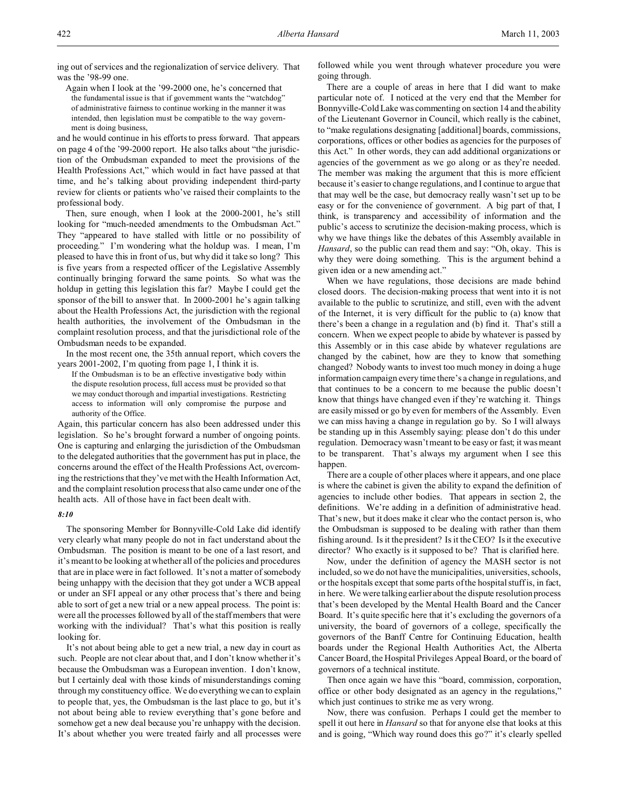ing out of services and the regionalization of service delivery. That was the '98-99 one.

Again when I look at the '99-2000 one, he's concerned that the fundamental issue is that if government wants the "watchdog" of administrative fairness to continue working in the manner it was intended, then legislation must be compatible to the way government is doing business,

and he would continue in his efforts to press forward. That appears on page 4 of the '99-2000 report. He also talks about "the jurisdiction of the Ombudsman expanded to meet the provisions of the Health Professions Act," which would in fact have passed at that time, and he's talking about providing independent third-party review for clients or patients who've raised their complaints to the professional body.

Then, sure enough, when I look at the 2000-2001, he's still looking for "much-needed amendments to the Ombudsman Act." They "appeared to have stalled with little or no possibility of proceeding." I'm wondering what the holdup was. I mean, I'm pleased to have this in front of us, but why did it take so long? This is five years from a respected officer of the Legislative Assembly continually bringing forward the same points. So what was the holdup in getting this legislation this far? Maybe I could get the sponsor of the bill to answer that. In 2000-2001 he's again talking about the Health Professions Act, the jurisdiction with the regional health authorities, the involvement of the Ombudsman in the complaint resolution process, and that the jurisdictional role of the Ombudsman needs to be expanded.

In the most recent one, the 35th annual report, which covers the years 2001-2002, I'm quoting from page 1, I think it is.

If the Ombudsman is to be an effective investigative body within the dispute resolution process, full access must be provided so that we may conduct thorough and impartial investigations. Restricting access to information will only compromise the purpose and authority of the Office.

Again, this particular concern has also been addressed under this legislation. So he's brought forward a number of ongoing points. One is capturing and enlarging the jurisdiction of the Ombudsman to the delegated authorities that the government has put in place, the concerns around the effect of the Health Professions Act, overcoming the restrictions that they've met with the Health Information Act, and the complaint resolution process that also came under one of the health acts. All of those have in fact been dealt with.

#### *8:10*

The sponsoring Member for Bonnyville-Cold Lake did identify very clearly what many people do not in fact understand about the Ombudsman. The position is meant to be one of a last resort, and it's meant to be looking at whether all of the policies and procedures that are in place were in fact followed. It's not a matter of somebody being unhappy with the decision that they got under a WCB appeal or under an SFI appeal or any other process that's there and being able to sort of get a new trial or a new appeal process. The point is: were all the processes followed by all of the staff members that were working with the individual? That's what this position is really looking for.

It's not about being able to get a new trial, a new day in court as such. People are not clear about that, and I don't know whether it's because the Ombudsman was a European invention. I don't know, but I certainly deal with those kinds of misunderstandings coming through my constituency office. We do everything we can to explain to people that, yes, the Ombudsman is the last place to go, but it's not about being able to review everything that's gone before and somehow get a new deal because you're unhappy with the decision. It's about whether you were treated fairly and all processes were followed while you went through whatever procedure you were going through.

There are a couple of areas in here that I did want to make particular note of. I noticed at the very end that the Member for Bonnyville-Cold Lake was commenting on section 14 and the ability of the Lieutenant Governor in Council, which really is the cabinet, to "make regulations designating [additional] boards, commissions, corporations, offices or other bodies as agencies for the purposes of this Act." In other words, they can add additional organizations or agencies of the government as we go along or as they're needed. The member was making the argument that this is more efficient because it's easier to change regulations, and I continue to argue that that may well be the case, but democracy really wasn't set up to be easy or for the convenience of government. A big part of that, I think, is transparency and accessibility of information and the public's access to scrutinize the decision-making process, which is why we have things like the debates of this Assembly available in *Hansard*, so the public can read them and say: "Oh, okay. This is why they were doing something. This is the argument behind a given idea or a new amending act."

When we have regulations, those decisions are made behind closed doors. The decision-making process that went into it is not available to the public to scrutinize, and still, even with the advent of the Internet, it is very difficult for the public to (a) know that there's been a change in a regulation and (b) find it. That's still a concern. When we expect people to abide by whatever is passed by this Assembly or in this case abide by whatever regulations are changed by the cabinet, how are they to know that something changed? Nobody wants to invest too much money in doing a huge information campaign every time there's a change in regulations, and that continues to be a concern to me because the public doesn't know that things have changed even if they're watching it. Things are easily missed or go by even for members of the Assembly. Even we can miss having a change in regulation go by. So I will always be standing up in this Assembly saying: please don't do this under regulation. Democracy wasn't meant to be easy or fast; it was meant to be transparent. That's always my argument when I see this happen.

There are a couple of other places where it appears, and one place is where the cabinet is given the ability to expand the definition of agencies to include other bodies. That appears in section 2, the definitions. We're adding in a definition of administrative head. That's new, but it does make it clear who the contact person is, who the Ombudsman is supposed to be dealing with rather than them fishing around. Is it the president? Is it the CEO? Is it the executive director? Who exactly is it supposed to be? That is clarified here.

Now, under the definition of agency the MASH sector is not included, so we do not have the municipalities, universities, schools, or the hospitals except that some parts of the hospital stuff is, in fact, in here. We were talking earlier about the dispute resolution process that's been developed by the Mental Health Board and the Cancer Board. It's quite specific here that it's excluding the governors of a university, the board of governors of a college, specifically the governors of the Banff Centre for Continuing Education, health boards under the Regional Health Authorities Act, the Alberta Cancer Board, the Hospital Privileges Appeal Board, or the board of governors of a technical institute.

Then once again we have this "board, commission, corporation, office or other body designated as an agency in the regulations," which just continues to strike me as very wrong.

Now, there was confusion. Perhaps I could get the member to spell it out here in *Hansard* so that for anyone else that looks at this and is going, "Which way round does this go?" it's clearly spelled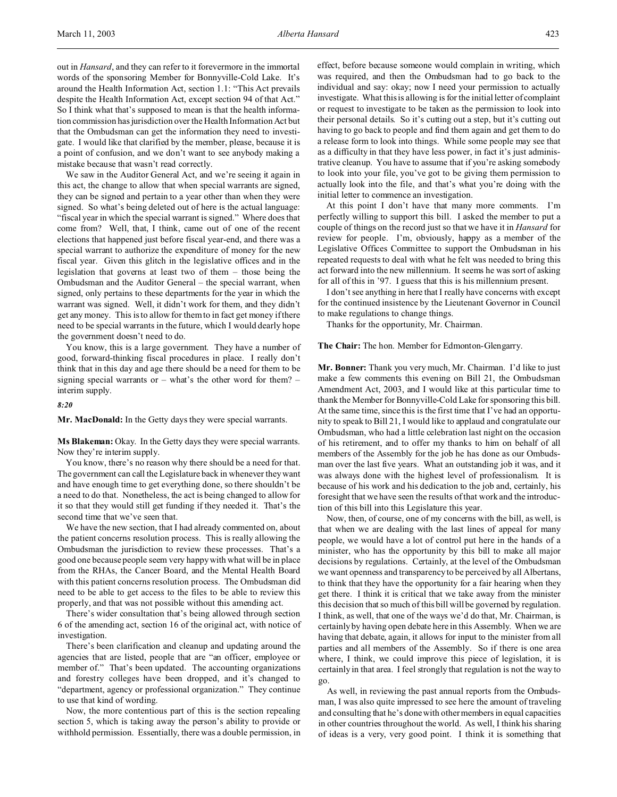out in *Hansard*, and they can refer to it forevermore in the immortal words of the sponsoring Member for Bonnyville-Cold Lake. It's around the Health Information Act, section 1.1: "This Act prevails despite the Health Information Act, except section 94 of that Act." So I think what that's supposed to mean is that the health information commission has jurisdiction over the Health Information Act but that the Ombudsman can get the information they need to investigate. I would like that clarified by the member, please, because it is a point of confusion, and we don't want to see anybody making a mistake because that wasn't read correctly.

We saw in the Auditor General Act, and we're seeing it again in this act, the change to allow that when special warrants are signed, they can be signed and pertain to a year other than when they were signed. So what's being deleted out of here is the actual language: "fiscal year in which the special warrant is signed." Where does that come from? Well, that, I think, came out of one of the recent elections that happened just before fiscal year-end, and there was a special warrant to authorize the expenditure of money for the new fiscal year. Given this glitch in the legislative offices and in the legislation that governs at least two of them – those being the Ombudsman and the Auditor General – the special warrant, when signed, only pertains to these departments for the year in which the warrant was signed. Well, it didn't work for them, and they didn't get any money. This is to allow for them to in fact get money if there need to be special warrants in the future, which I would dearly hope the government doesn't need to do.

You know, this is a large government. They have a number of good, forward-thinking fiscal procedures in place. I really don't think that in this day and age there should be a need for them to be signing special warrants or – what's the other word for them? – interim supply.

### *8:20*

**Mr. MacDonald:** In the Getty days they were special warrants.

**Ms Blakeman:** Okay. In the Getty days they were special warrants. Now they're interim supply.

You know, there's no reason why there should be a need for that. The government can call the Legislature back in whenever they want and have enough time to get everything done, so there shouldn't be a need to do that. Nonetheless, the act is being changed to allow for it so that they would still get funding if they needed it. That's the second time that we've seen that.

We have the new section, that I had already commented on, about the patient concerns resolution process. This is really allowing the Ombudsman the jurisdiction to review these processes. That's a good one because people seem very happy with what will be in place from the RHAs, the Cancer Board, and the Mental Health Board with this patient concerns resolution process. The Ombudsman did need to be able to get access to the files to be able to review this properly, and that was not possible without this amending act.

There's wider consultation that's being allowed through section 6 of the amending act, section 16 of the original act, with notice of investigation.

There's been clarification and cleanup and updating around the agencies that are listed, people that are "an officer, employee or member of." That's been updated. The accounting organizations and forestry colleges have been dropped, and it's changed to "department, agency or professional organization." They continue to use that kind of wording.

Now, the more contentious part of this is the section repealing section 5, which is taking away the person's ability to provide or withhold permission. Essentially, there was a double permission, in effect, before because someone would complain in writing, which was required, and then the Ombudsman had to go back to the individual and say: okay; now I need your permission to actually investigate. What this is allowing is for the initial letter of complaint or request to investigate to be taken as the permission to look into their personal details. So it's cutting out a step, but it's cutting out having to go back to people and find them again and get them to do a release form to look into things. While some people may see that as a difficulty in that they have less power, in fact it's just administrative cleanup. You have to assume that if you're asking somebody to look into your file, you've got to be giving them permission to actually look into the file, and that's what you're doing with the initial letter to commence an investigation.

At this point I don't have that many more comments. I'm perfectly willing to support this bill. I asked the member to put a couple of things on the record just so that we have it in *Hansard* for review for people. I'm, obviously, happy as a member of the Legislative Offices Committee to support the Ombudsman in his repeated requests to deal with what he felt was needed to bring this act forward into the new millennium. It seems he was sort of asking for all of this in '97. I guess that this is his millennium present.

I don't see anything in here that I really have concerns with except for the continued insistence by the Lieutenant Governor in Council to make regulations to change things.

Thanks for the opportunity, Mr. Chairman.

**The Chair:** The hon. Member for Edmonton-Glengarry.

**Mr. Bonner:** Thank you very much, Mr. Chairman. I'd like to just make a few comments this evening on Bill 21, the Ombudsman Amendment Act, 2003, and I would like at this particular time to thank the Member for Bonnyville-Cold Lake for sponsoring this bill. At the same time, since this is the first time that I've had an opportunity to speak to Bill 21, I would like to applaud and congratulate our Ombudsman, who had a little celebration last night on the occasion of his retirement, and to offer my thanks to him on behalf of all members of the Assembly for the job he has done as our Ombudsman over the last five years. What an outstanding job it was, and it was always done with the highest level of professionalism. It is because of his work and his dedication to the job and, certainly, his foresight that we have seen the results of that work and the introduction of this bill into this Legislature this year.

Now, then, of course, one of my concerns with the bill, as well, is that when we are dealing with the last lines of appeal for many people, we would have a lot of control put here in the hands of a minister, who has the opportunity by this bill to make all major decisions by regulations. Certainly, at the level of the Ombudsman we want openness and transparency to be perceived by all Albertans, to think that they have the opportunity for a fair hearing when they get there. I think it is critical that we take away from the minister this decision that so much of this bill will be governed by regulation. I think, as well, that one of the ways we'd do that, Mr. Chairman, is certainly by having open debate here in this Assembly. When we are having that debate, again, it allows for input to the minister from all parties and all members of the Assembly. So if there is one area where, I think, we could improve this piece of legislation, it is certainly in that area. I feel strongly that regulation is not the way to go.

As well, in reviewing the past annual reports from the Ombudsman, I was also quite impressed to see here the amount of traveling and consulting that he's done with other members in equal capacities in other countries throughout the world. As well, I think his sharing of ideas is a very, very good point. I think it is something that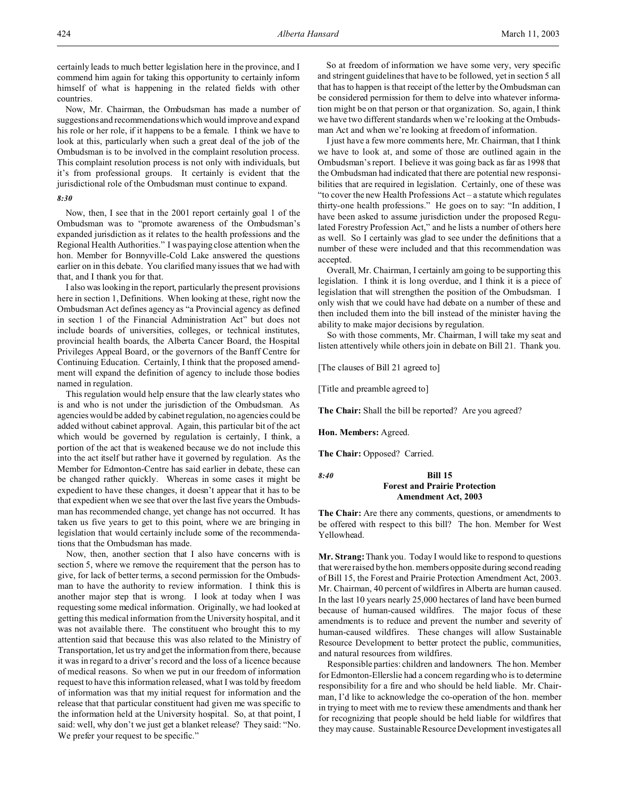certainly leads to much better legislation here in the province, and I commend him again for taking this opportunity to certainly inform himself of what is happening in the related fields with other countries.

Now, Mr. Chairman, the Ombudsman has made a number of suggestions and recommendations which would improve and expand his role or her role, if it happens to be a female. I think we have to look at this, particularly when such a great deal of the job of the Ombudsman is to be involved in the complaint resolution process. This complaint resolution process is not only with individuals, but it's from professional groups. It certainly is evident that the jurisdictional role of the Ombudsman must continue to expand.

## *8:30*

Now, then, I see that in the 2001 report certainly goal 1 of the Ombudsman was to "promote awareness of the Ombudsman's expanded jurisdiction as it relates to the health professions and the Regional Health Authorities." I was paying close attention when the hon. Member for Bonnyville-Cold Lake answered the questions earlier on in this debate. You clarified many issues that we had with that, and I thank you for that.

I also was looking in the report, particularly the present provisions here in section 1, Definitions. When looking at these, right now the Ombudsman Act defines agency as "a Provincial agency as defined in section 1 of the Financial Administration Act" but does not include boards of universities, colleges, or technical institutes, provincial health boards, the Alberta Cancer Board, the Hospital Privileges Appeal Board, or the governors of the Banff Centre for Continuing Education. Certainly, I think that the proposed amendment will expand the definition of agency to include those bodies named in regulation.

This regulation would help ensure that the law clearly states who is and who is not under the jurisdiction of the Ombudsman. As agencies would be added by cabinet regulation, no agencies could be added without cabinet approval. Again, this particular bit of the act which would be governed by regulation is certainly, I think, a portion of the act that is weakened because we do not include this into the act itself but rather have it governed by regulation. As the Member for Edmonton-Centre has said earlier in debate, these can be changed rather quickly. Whereas in some cases it might be expedient to have these changes, it doesn't appear that it has to be that expedient when we see that over the last five years the Ombudsman has recommended change, yet change has not occurred. It has taken us five years to get to this point, where we are bringing in legislation that would certainly include some of the recommendations that the Ombudsman has made.

Now, then, another section that I also have concerns with is section 5, where we remove the requirement that the person has to give, for lack of better terms, a second permission for the Ombudsman to have the authority to review information. I think this is another major step that is wrong. I look at today when I was requesting some medical information. Originally, we had looked at getting this medical information from the University hospital, and it was not available there. The constituent who brought this to my attention said that because this was also related to the Ministry of Transportation, let us try and get the information from there, because it was in regard to a driver's record and the loss of a licence because of medical reasons. So when we put in our freedom of information request to have this information released, what I was told by freedom of information was that my initial request for information and the release that that particular constituent had given me was specific to the information held at the University hospital. So, at that point, I said: well, why don't we just get a blanket release? They said: "No. We prefer your request to be specific."

So at freedom of information we have some very, very specific and stringent guidelines that have to be followed, yet in section 5 all that has to happen is that receipt of the letter by the Ombudsman can be considered permission for them to delve into whatever information might be on that person or that organization. So, again, I think we have two different standards when we're looking at the Ombudsman Act and when we're looking at freedom of information.

I just have a few more comments here, Mr. Chairman, that I think we have to look at, and some of those are outlined again in the Ombudsman's report. I believe it was going back as far as 1998 that the Ombudsman had indicated that there are potential new responsibilities that are required in legislation. Certainly, one of these was "to cover the new Health Professions Act – a statute which regulates thirty-one health professions." He goes on to say: "In addition, I have been asked to assume jurisdiction under the proposed Regulated Forestry Profession Act," and he lists a number of others here as well. So I certainly was glad to see under the definitions that a number of these were included and that this recommendation was accepted.

Overall, Mr. Chairman, I certainly am going to be supporting this legislation. I think it is long overdue, and I think it is a piece of legislation that will strengthen the position of the Ombudsman. I only wish that we could have had debate on a number of these and then included them into the bill instead of the minister having the ability to make major decisions by regulation.

So with those comments, Mr. Chairman, I will take my seat and listen attentively while others join in debate on Bill 21. Thank you.

[The clauses of Bill 21 agreed to]

[Title and preamble agreed to]

**The Chair:** Shall the bill be reported? Are you agreed?

**Hon. Members:** Agreed.

**The Chair:** Opposed? Carried.

## *8:40* **Bill 15 Forest and Prairie Protection Amendment Act, 2003**

**The Chair:** Are there any comments, questions, or amendments to be offered with respect to this bill? The hon. Member for West Yellowhead.

**Mr. Strang:**Thank you. Today I would like to respond to questions that were raised by the hon. members opposite during second reading of Bill 15, the Forest and Prairie Protection Amendment Act, 2003. Mr. Chairman, 40 percent of wildfires in Alberta are human caused. In the last 10 years nearly 25,000 hectares of land have been burned because of human-caused wildfires. The major focus of these amendments is to reduce and prevent the number and severity of human-caused wildfires. These changes will allow Sustainable Resource Development to better protect the public, communities, and natural resources from wildfires.

Responsible parties: children and landowners. The hon. Member for Edmonton-Ellerslie had a concern regarding who is to determine responsibility for a fire and who should be held liable. Mr. Chairman, I'd like to acknowledge the co-operation of the hon. member in trying to meet with me to review these amendments and thank her for recognizing that people should be held liable for wildfires that they may cause. Sustainable Resource Development investigates all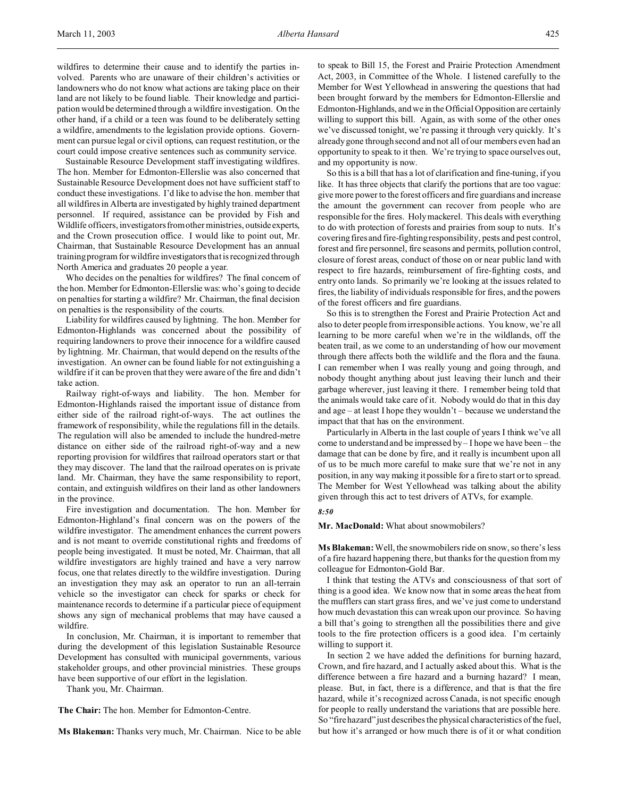wildfires to determine their cause and to identify the parties involved. Parents who are unaware of their children's activities or landowners who do not know what actions are taking place on their land are not likely to be found liable. Their knowledge and participation would be determined through a wildfire investigation. On the other hand, if a child or a teen was found to be deliberately setting a wildfire, amendments to the legislation provide options. Government can pursue legal or civil options, can request restitution, or the court could impose creative sentences such as community service.

Sustainable Resource Development staff investigating wildfires. The hon. Member for Edmonton-Ellerslie was also concerned that Sustainable Resource Development does not have sufficient staff to conduct these investigations. I'd like to advise the hon. member that all wildfires in Alberta are investigated by highly trained department personnel. If required, assistance can be provided by Fish and Wildlife officers, investigators from other ministries, outside experts, and the Crown prosecution office. I would like to point out, Mr. Chairman, that Sustainable Resource Development has an annual training program for wildfire investigators that is recognized through North America and graduates 20 people a year.

Who decides on the penalties for wildfires? The final concern of the hon. Member for Edmonton-Ellerslie was: who's going to decide on penalties for starting a wildfire? Mr. Chairman, the final decision on penalties is the responsibility of the courts.

Liability for wildfires caused by lightning. The hon. Member for Edmonton-Highlands was concerned about the possibility of requiring landowners to prove their innocence for a wildfire caused by lightning. Mr. Chairman, that would depend on the results of the investigation. An owner can be found liable for not extinguishing a wildfire if it can be proven that they were aware of the fire and didn't take action.

Railway right-of-ways and liability. The hon. Member for Edmonton-Highlands raised the important issue of distance from either side of the railroad right-of-ways. The act outlines the framework of responsibility, while the regulations fill in the details. The regulation will also be amended to include the hundred-metre distance on either side of the railroad right-of-way and a new reporting provision for wildfires that railroad operators start or that they may discover. The land that the railroad operates on is private land. Mr. Chairman, they have the same responsibility to report, contain, and extinguish wildfires on their land as other landowners in the province.

Fire investigation and documentation. The hon. Member for Edmonton-Highland's final concern was on the powers of the wildfire investigator. The amendment enhances the current powers and is not meant to override constitutional rights and freedoms of people being investigated. It must be noted, Mr. Chairman, that all wildfire investigators are highly trained and have a very narrow focus, one that relates directly to the wildfire investigation. During an investigation they may ask an operator to run an all-terrain vehicle so the investigator can check for sparks or check for maintenance records to determine if a particular piece of equipment shows any sign of mechanical problems that may have caused a wildfire.

In conclusion, Mr. Chairman, it is important to remember that during the development of this legislation Sustainable Resource Development has consulted with municipal governments, various stakeholder groups, and other provincial ministries. These groups have been supportive of our effort in the legislation.

Thank you, Mr. Chairman.

**The Chair:** The hon. Member for Edmonton-Centre.

**Ms Blakeman:** Thanks very much, Mr. Chairman. Nice to be able

to speak to Bill 15, the Forest and Prairie Protection Amendment Act, 2003, in Committee of the Whole. I listened carefully to the Member for West Yellowhead in answering the questions that had been brought forward by the members for Edmonton-Ellerslie and Edmonton-Highlands, and we in the Official Opposition are certainly willing to support this bill. Again, as with some of the other ones we've discussed tonight, we're passing it through very quickly. It's already gone through second and not all of our members even had an opportunity to speak to it then. We're trying to space ourselves out, and my opportunity is now.

So this is a bill that has a lot of clarification and fine-tuning, if you like. It has three objects that clarify the portions that are too vague: give more power to the forest officers and fire guardians and increase the amount the government can recover from people who are responsible for the fires. Holy mackerel. This deals with everything to do with protection of forests and prairies from soup to nuts. It's covering fires and fire-fighting responsibility, pests and pest control, forest and fire personnel, fire seasons and permits, pollution control, closure of forest areas, conduct of those on or near public land with respect to fire hazards, reimbursement of fire-fighting costs, and entry onto lands. So primarily we're looking at the issues related to fires, the liability of individuals responsible for fires, and the powers of the forest officers and fire guardians.

So this is to strengthen the Forest and Prairie Protection Act and also to deter people from irresponsible actions. You know, we're all learning to be more careful when we're in the wildlands, off the beaten trail, as we come to an understanding of how our movement through there affects both the wildlife and the flora and the fauna. I can remember when I was really young and going through, and nobody thought anything about just leaving their lunch and their garbage wherever, just leaving it there. I remember being told that the animals would take care of it. Nobody would do that in this day and age – at least I hope they wouldn't – because we understand the impact that that has on the environment.

Particularly in Alberta in the last couple of years I think we've all come to understand and be impressed by – I hope we have been – the damage that can be done by fire, and it really is incumbent upon all of us to be much more careful to make sure that we're not in any position, in any way making it possible for a fire to start or to spread. The Member for West Yellowhead was talking about the ability given through this act to test drivers of ATVs, for example.

#### *8:50*

## **Mr. MacDonald:** What about snowmobilers?

**Ms Blakeman:** Well, the snowmobilers ride on snow, so there's less of a fire hazard happening there, but thanks for the question from my colleague for Edmonton-Gold Bar.

I think that testing the ATVs and consciousness of that sort of thing is a good idea. We know now that in some areas the heat from the mufflers can start grass fires, and we've just come to understand how much devastation this can wreak upon our province. So having a bill that's going to strengthen all the possibilities there and give tools to the fire protection officers is a good idea. I'm certainly willing to support it.

In section 2 we have added the definitions for burning hazard, Crown, and fire hazard, and I actually asked about this. What is the difference between a fire hazard and a burning hazard? I mean, please. But, in fact, there is a difference, and that is that the fire hazard, while it's recognized across Canada, is not specific enough for people to really understand the variations that are possible here. So "fire hazard" just describes the physical characteristics of the fuel, but how it's arranged or how much there is of it or what condition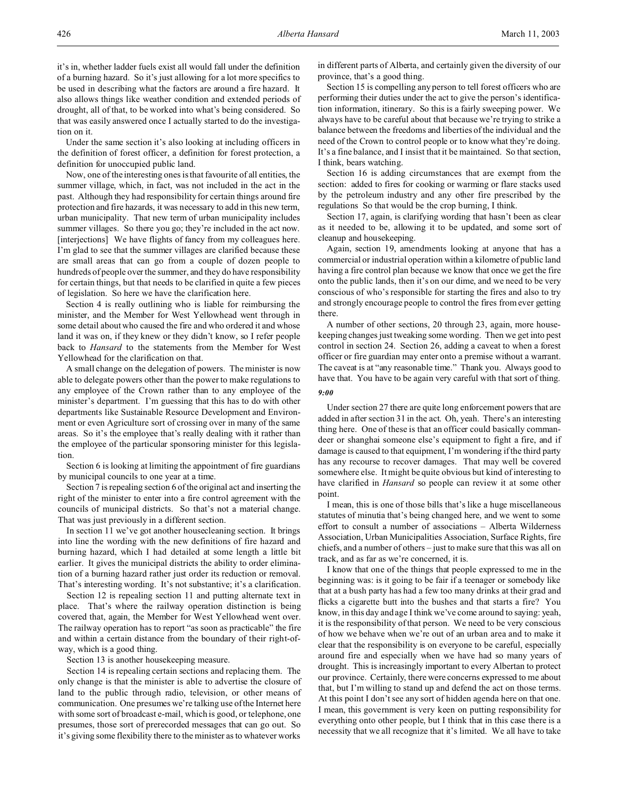it's in, whether ladder fuels exist all would fall under the definition of a burning hazard. So it's just allowing for a lot more specifics to be used in describing what the factors are around a fire hazard. It also allows things like weather condition and extended periods of drought, all of that, to be worked into what's being considered. So that was easily answered once I actually started to do the investigation on it.

Under the same section it's also looking at including officers in the definition of forest officer, a definition for forest protection, a definition for unoccupied public land.

Now, one of the interesting ones is that favourite of all entities, the summer village, which, in fact, was not included in the act in the past. Although they had responsibility for certain things around fire protection and fire hazards, it was necessary to add in this new term, urban municipality. That new term of urban municipality includes summer villages. So there you go; they're included in the act now. [interjections] We have flights of fancy from my colleagues here. I'm glad to see that the summer villages are clarified because these are small areas that can go from a couple of dozen people to hundreds of people over the summer, and they do have responsibility for certain things, but that needs to be clarified in quite a few pieces of legislation. So here we have the clarification here.

Section 4 is really outlining who is liable for reimbursing the minister, and the Member for West Yellowhead went through in some detail about who caused the fire and who ordered it and whose land it was on, if they knew or they didn't know, so I refer people back to *Hansard* to the statements from the Member for West Yellowhead for the clarification on that.

A small change on the delegation of powers. The minister is now able to delegate powers other than the power to make regulations to any employee of the Crown rather than to any employee of the minister's department. I'm guessing that this has to do with other departments like Sustainable Resource Development and Environment or even Agriculture sort of crossing over in many of the same areas. So it's the employee that's really dealing with it rather than the employee of the particular sponsoring minister for this legislation.

Section 6 is looking at limiting the appointment of fire guardians by municipal councils to one year at a time.

Section 7 is repealing section 6 of the original act and inserting the right of the minister to enter into a fire control agreement with the councils of municipal districts. So that's not a material change. That was just previously in a different section.

In section 11 we've got another housecleaning section. It brings into line the wording with the new definitions of fire hazard and burning hazard, which I had detailed at some length a little bit earlier. It gives the municipal districts the ability to order elimination of a burning hazard rather just order its reduction or removal. That's interesting wording. It's not substantive; it's a clarification.

Section 12 is repealing section 11 and putting alternate text in place. That's where the railway operation distinction is being covered that, again, the Member for West Yellowhead went over. The railway operation has to report "as soon as practicable" the fire and within a certain distance from the boundary of their right-ofway, which is a good thing.

Section 13 is another housekeeping measure.

Section 14 is repealing certain sections and replacing them. The only change is that the minister is able to advertise the closure of land to the public through radio, television, or other means of communication. One presumes we're talking use of the Internet here with some sort of broadcast e-mail, which is good, or telephone, one presumes, those sort of prerecorded messages that can go out. So it's giving some flexibility there to the minister as to whatever works

in different parts of Alberta, and certainly given the diversity of our province, that's a good thing.

Section 15 is compelling any person to tell forest officers who are performing their duties under the act to give the person's identification information, itinerary. So this is a fairly sweeping power. We always have to be careful about that because we're trying to strike a balance between the freedoms and liberties of the individual and the need of the Crown to control people or to know what they're doing. It's a fine balance, and I insist that it be maintained. So that section, I think, bears watching.

Section 16 is adding circumstances that are exempt from the section: added to fires for cooking or warming or flare stacks used by the petroleum industry and any other fire prescribed by the regulations So that would be the crop burning, I think.

Section 17, again, is clarifying wording that hasn't been as clear as it needed to be, allowing it to be updated, and some sort of cleanup and housekeeping.

Again, section 19, amendments looking at anyone that has a commercial or industrial operation within a kilometre of public land having a fire control plan because we know that once we get the fire onto the public lands, then it's on our dime, and we need to be very conscious of who's responsible for starting the fires and also to try and strongly encourage people to control the fires from ever getting there.

A number of other sections, 20 through 23, again, more housekeeping changes just tweaking some wording. Then we get into pest control in section 24. Section 26, adding a caveat to when a forest officer or fire guardian may enter onto a premise without a warrant. The caveat is at "any reasonable time." Thank you. Always good to have that. You have to be again very careful with that sort of thing.

## *9:00*

Under section 27 there are quite long enforcement powers that are added in after section 31 in the act. Oh, yeah. There's an interesting thing here. One of these is that an officer could basically commandeer or shanghai someone else's equipment to fight a fire, and if damage is caused to that equipment, I'm wondering if the third party has any recourse to recover damages. That may well be covered somewhere else. It might be quite obvious but kind of interesting to have clarified in *Hansard* so people can review it at some other point.

I mean, this is one of those bills that's like a huge miscellaneous statutes of minutia that's being changed here, and we went to some effort to consult a number of associations – Alberta Wilderness Association, Urban Municipalities Association, Surface Rights, fire chiefs, and a number of others – just to make sure that this was all on track, and as far as we're concerned, it is.

I know that one of the things that people expressed to me in the beginning was: is it going to be fair if a teenager or somebody like that at a bush party has had a few too many drinks at their grad and flicks a cigarette butt into the bushes and that starts a fire? You know, in this day and age I think we've come around to saying: yeah, it is the responsibility of that person. We need to be very conscious of how we behave when we're out of an urban area and to make it clear that the responsibility is on everyone to be careful, especially around fire and especially when we have had so many years of drought. This is increasingly important to every Albertan to protect our province. Certainly, there were concerns expressed to me about that, but I'm willing to stand up and defend the act on those terms. At this point I don't see any sort of hidden agenda here on that one. I mean, this government is very keen on putting responsibility for everything onto other people, but I think that in this case there is a necessity that we all recognize that it's limited. We all have to take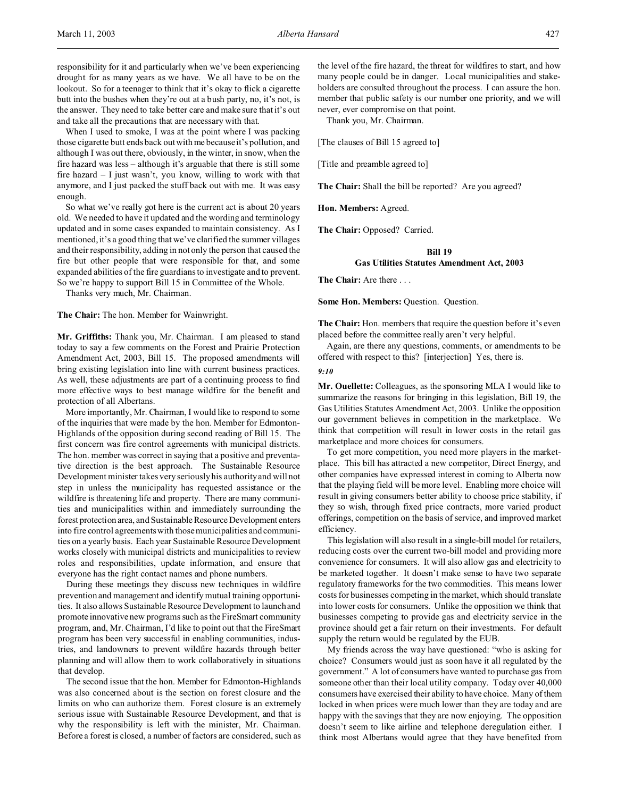responsibility for it and particularly when we've been experiencing drought for as many years as we have. We all have to be on the lookout. So for a teenager to think that it's okay to flick a cigarette butt into the bushes when they're out at a bush party, no, it's not, is the answer. They need to take better care and make sure that it's out and take all the precautions that are necessary with that.

When I used to smoke, I was at the point where I was packing those cigarette butt ends back out with me because it's pollution, and although I was out there, obviously, in the winter, in snow, when the fire hazard was less – although it's arguable that there is still some fire hazard – I just wasn't, you know, willing to work with that anymore, and I just packed the stuff back out with me. It was easy enough.

So what we've really got here is the current act is about 20 years old. We needed to have it updated and the wording and terminology updated and in some cases expanded to maintain consistency. As I mentioned, it's a good thing that we've clarified the summer villages and their responsibility, adding in not only the person that caused the fire but other people that were responsible for that, and some expanded abilities of the fire guardians to investigate and to prevent. So we're happy to support Bill 15 in Committee of the Whole.

Thanks very much, Mr. Chairman.

**The Chair:** The hon. Member for Wainwright.

**Mr. Griffiths:** Thank you, Mr. Chairman. I am pleased to stand today to say a few comments on the Forest and Prairie Protection Amendment Act, 2003, Bill 15. The proposed amendments will bring existing legislation into line with current business practices. As well, these adjustments are part of a continuing process to find more effective ways to best manage wildfire for the benefit and protection of all Albertans.

More importantly, Mr. Chairman, I would like to respond to some of the inquiries that were made by the hon. Member for Edmonton-Highlands of the opposition during second reading of Bill 15. The first concern was fire control agreements with municipal districts. The hon. member was correct in saying that a positive and preventative direction is the best approach. The Sustainable Resource Development minister takes very seriously his authority and will not step in unless the municipality has requested assistance or the wildfire is threatening life and property. There are many communities and municipalities within and immediately surrounding the forest protection area, and Sustainable Resource Development enters into fire control agreements with those municipalities and communities on a yearly basis. Each year Sustainable Resource Development works closely with municipal districts and municipalities to review roles and responsibilities, update information, and ensure that everyone has the right contact names and phone numbers.

During these meetings they discuss new techniques in wildfire prevention and management and identify mutual training opportunities. It also allows Sustainable Resource Development to launch and promote innovative new programs such as the FireSmart community program, and, Mr. Chairman, I'd like to point out that the FireSmart program has been very successful in enabling communities, industries, and landowners to prevent wildfire hazards through better planning and will allow them to work collaboratively in situations that develop.

The second issue that the hon. Member for Edmonton-Highlands was also concerned about is the section on forest closure and the limits on who can authorize them. Forest closure is an extremely serious issue with Sustainable Resource Development, and that is why the responsibility is left with the minister, Mr. Chairman. Before a forest is closed, a number of factors are considered, such as the level of the fire hazard, the threat for wildfires to start, and how many people could be in danger. Local municipalities and stakeholders are consulted throughout the process. I can assure the hon. member that public safety is our number one priority, and we will never, ever compromise on that point.

Thank you, Mr. Chairman.

[The clauses of Bill 15 agreed to]

[Title and preamble agreed to]

**The Chair:** Shall the bill be reported? Are you agreed?

**Hon. Members:** Agreed.

**The Chair:** Opposed? Carried.

## **Bill 19**

### **Gas Utilities Statutes Amendment Act, 2003**

**The Chair:** Are there . . .

**Some Hon. Members: Question. Question.** 

**The Chair:** Hon. members that require the question before it's even placed before the committee really aren't very helpful.

Again, are there any questions, comments, or amendments to be offered with respect to this? [interjection] Yes, there is.

#### *9:10*

**Mr. Ouellette:** Colleagues, as the sponsoring MLA I would like to summarize the reasons for bringing in this legislation, Bill 19, the Gas Utilities Statutes Amendment Act, 2003. Unlike the opposition our government believes in competition in the marketplace. We think that competition will result in lower costs in the retail gas marketplace and more choices for consumers.

To get more competition, you need more players in the marketplace. This bill has attracted a new competitor, Direct Energy, and other companies have expressed interest in coming to Alberta now that the playing field will be more level. Enabling more choice will result in giving consumers better ability to choose price stability, if they so wish, through fixed price contracts, more varied product offerings, competition on the basis of service, and improved market efficiency.

This legislation will also result in a single-bill model for retailers, reducing costs over the current two-bill model and providing more convenience for consumers. It will also allow gas and electricity to be marketed together. It doesn't make sense to have two separate regulatory frameworks for the two commodities. This means lower costs for businesses competing in the market, which should translate into lower costs for consumers. Unlike the opposition we think that businesses competing to provide gas and electricity service in the province should get a fair return on their investments. For default supply the return would be regulated by the EUB.

My friends across the way have questioned: "who is asking for choice? Consumers would just as soon have it all regulated by the government." A lot of consumers have wanted to purchase gas from someone other than their local utility company. Today over 40,000 consumers have exercised their ability to have choice. Many of them locked in when prices were much lower than they are today and are happy with the savings that they are now enjoying. The opposition doesn't seem to like airline and telephone deregulation either. I think most Albertans would agree that they have benefited from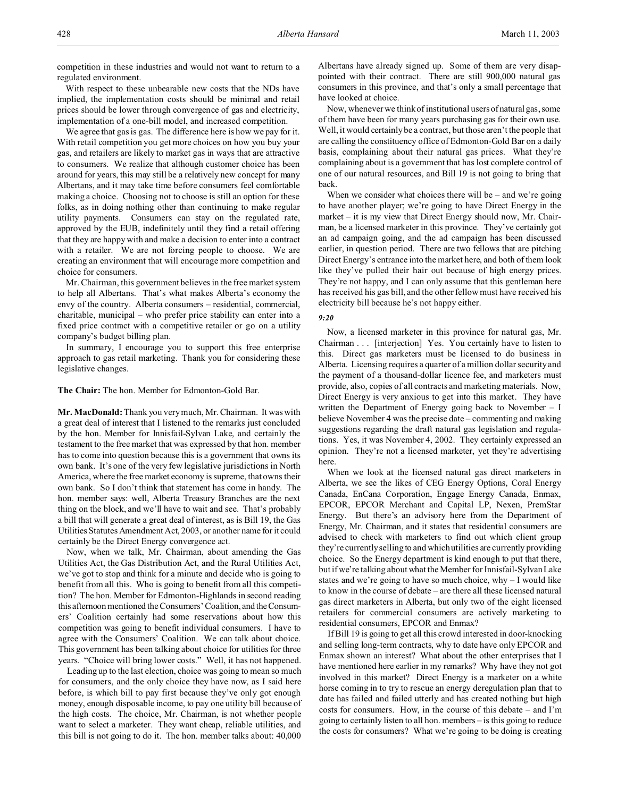competition in these industries and would not want to return to a regulated environment.

With respect to these unbearable new costs that the NDs have implied, the implementation costs should be minimal and retail prices should be lower through convergence of gas and electricity, implementation of a one-bill model, and increased competition.

We agree that gas is gas. The difference here is how we pay for it. With retail competition you get more choices on how you buy your gas, and retailers are likely to market gas in ways that are attractive to consumers. We realize that although customer choice has been around for years, this may still be a relatively new concept for many Albertans, and it may take time before consumers feel comfortable making a choice. Choosing not to choose is still an option for these folks, as in doing nothing other than continuing to make regular utility payments. Consumers can stay on the regulated rate, approved by the EUB, indefinitely until they find a retail offering that they are happy with and make a decision to enter into a contract with a retailer. We are not forcing people to choose. We are creating an environment that will encourage more competition and choice for consumers.

Mr. Chairman, this government believes in the free market system to help all Albertans. That's what makes Alberta's economy the envy of the country. Alberta consumers – residential, commercial, charitable, municipal – who prefer price stability can enter into a fixed price contract with a competitive retailer or go on a utility company's budget billing plan.

In summary, I encourage you to support this free enterprise approach to gas retail marketing. Thank you for considering these legislative changes.

**The Chair:** The hon. Member for Edmonton-Gold Bar.

**Mr. MacDonald:** Thank you very much, Mr. Chairman. It was with a great deal of interest that I listened to the remarks just concluded by the hon. Member for Innisfail-Sylvan Lake, and certainly the testament to the free market that was expressed by that hon. member has to come into question because this is a government that owns its own bank. It's one of the very few legislative jurisdictions in North America, where the free market economy is supreme, that owns their own bank. So I don't think that statement has come in handy. The hon. member says: well, Alberta Treasury Branches are the next thing on the block, and we'll have to wait and see. That's probably a bill that will generate a great deal of interest, as is Bill 19, the Gas Utilities Statutes Amendment Act, 2003, or another name for it could certainly be the Direct Energy convergence act.

Now, when we talk, Mr. Chairman, about amending the Gas Utilities Act, the Gas Distribution Act, and the Rural Utilities Act, we've got to stop and think for a minute and decide who is going to benefit from all this. Who is going to benefit from all this competition? The hon. Member for Edmonton-Highlands in second reading this afternoon mentioned the Consumers' Coalition, and theConsumers' Coalition certainly had some reservations about how this competition was going to benefit individual consumers. I have to agree with the Consumers' Coalition. We can talk about choice. This government has been talking about choice for utilities for three years. "Choice will bring lower costs." Well, it has not happened.

Leading up to the last election, choice was going to mean so much for consumers, and the only choice they have now, as I said here before, is which bill to pay first because they've only got enough money, enough disposable income, to pay one utility bill because of the high costs. The choice, Mr. Chairman, is not whether people want to select a marketer. They want cheap, reliable utilities, and this bill is not going to do it. The hon. member talks about: 40,000 Albertans have already signed up. Some of them are very disappointed with their contract. There are still 900,000 natural gas consumers in this province, and that's only a small percentage that have looked at choice.

Now, whenever we think of institutional users of natural gas, some of them have been for many years purchasing gas for their own use. Well, it would certainly be a contract, but those aren't the people that are calling the constituency office of Edmonton-Gold Bar on a daily basis, complaining about their natural gas prices. What they're complaining about is a government that has lost complete control of one of our natural resources, and Bill 19 is not going to bring that back.

When we consider what choices there will be  $-$  and we're going to have another player; we're going to have Direct Energy in the market – it is my view that Direct Energy should now, Mr. Chairman, be a licensed marketer in this province. They've certainly got an ad campaign going, and the ad campaign has been discussed earlier, in question period. There are two fellows that are pitching Direct Energy's entrance into the market here, and both of them look like they've pulled their hair out because of high energy prices. They're not happy, and I can only assume that this gentleman here has received his gas bill, and the other fellow must have received his electricity bill because he's not happy either.

### *9:20*

Now, a licensed marketer in this province for natural gas, Mr. Chairman . . . [interjection] Yes. You certainly have to listen to this. Direct gas marketers must be licensed to do business in Alberta. Licensing requires a quarter of a million dollar security and the payment of a thousand-dollar licence fee, and marketers must provide, also, copies of all contracts and marketing materials. Now, Direct Energy is very anxious to get into this market. They have written the Department of Energy going back to November – I believe November 4 was the precise date – commenting and making suggestions regarding the draft natural gas legislation and regulations. Yes, it was November 4, 2002. They certainly expressed an opinion. They're not a licensed marketer, yet they're advertising here.

When we look at the licensed natural gas direct marketers in Alberta, we see the likes of CEG Energy Options, Coral Energy Canada, EnCana Corporation, Engage Energy Canada, Enmax, EPCOR, EPCOR Merchant and Capital LP, Nexen, PremStar Energy. But there's an advisory here from the Department of Energy, Mr. Chairman, and it states that residential consumers are advised to check with marketers to find out which client group they're currently selling to and which utilities are currently providing choice. So the Energy department is kind enough to put that there, but if we're talking about what the Member for Innisfail-Sylvan Lake states and we're going to have so much choice, why – I would like to know in the course of debate – are there all these licensed natural gas direct marketers in Alberta, but only two of the eight licensed retailers for commercial consumers are actively marketing to residential consumers, EPCOR and Enmax?

If Bill 19 is going to get all this crowd interested in door-knocking and selling long-term contracts, why to date have only EPCOR and Enmax shown an interest? What about the other enterprises that I have mentioned here earlier in my remarks? Why have they not got involved in this market? Direct Energy is a marketer on a white horse coming in to try to rescue an energy deregulation plan that to date has failed and failed utterly and has created nothing but high costs for consumers. How, in the course of this debate – and I'm going to certainly listen to all hon. members – is this going to reduce the costs for consumers? What we're going to be doing is creating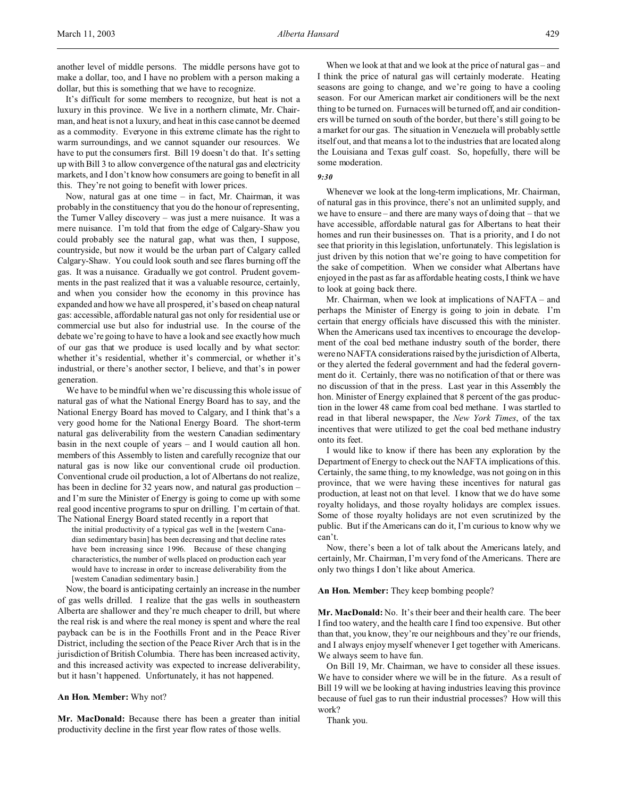another level of middle persons. The middle persons have got to make a dollar, too, and I have no problem with a person making a dollar, but this is something that we have to recognize.

It's difficult for some members to recognize, but heat is not a luxury in this province. We live in a northern climate, Mr. Chairman, and heat is not a luxury, and heat in this case cannot be deemed as a commodity. Everyone in this extreme climate has the right to warm surroundings, and we cannot squander our resources. We have to put the consumers first. Bill 19 doesn't do that. It's setting up with Bill 3 to allow convergence of the natural gas and electricity markets, and I don't know how consumers are going to benefit in all this. They're not going to benefit with lower prices.

Now, natural gas at one time  $-$  in fact, Mr. Chairman, it was probably in the constituency that you do the honour of representing, the Turner Valley discovery – was just a mere nuisance. It was a mere nuisance. I'm told that from the edge of Calgary-Shaw you could probably see the natural gap, what was then, I suppose, countryside, but now it would be the urban part of Calgary called Calgary-Shaw. You could look south and see flares burning off the gas. It was a nuisance. Gradually we got control. Prudent governments in the past realized that it was a valuable resource, certainly, and when you consider how the economy in this province has expanded and how we have all prospered, it's based on cheap natural gas: accessible, affordable natural gas not only for residential use or commercial use but also for industrial use. In the course of the debate we're going to have to have a look and see exactly how much of our gas that we produce is used locally and by what sector: whether it's residential, whether it's commercial, or whether it's industrial, or there's another sector, I believe, and that's in power generation.

We have to be mindful when we're discussing this whole issue of natural gas of what the National Energy Board has to say, and the National Energy Board has moved to Calgary, and I think that's a very good home for the National Energy Board. The short-term natural gas deliverability from the western Canadian sedimentary basin in the next couple of years – and I would caution all hon. members of this Assembly to listen and carefully recognize that our natural gas is now like our conventional crude oil production. Conventional crude oil production, a lot of Albertans do not realize, has been in decline for 32 years now, and natural gas production and I'm sure the Minister of Energy is going to come up with some real good incentive programs to spur on drilling. I'm certain of that. The National Energy Board stated recently in a report that

the initial productivity of a typical gas well in the [western Canadian sedimentary basin] has been decreasing and that decline rates have been increasing since 1996. Because of these changing characteristics, the number of wells placed on production each year would have to increase in order to increase deliverability from the [western Canadian sedimentary basin.]

Now, the board is anticipating certainly an increase in the number of gas wells drilled. I realize that the gas wells in southeastern Alberta are shallower and they're much cheaper to drill, but where the real risk is and where the real money is spent and where the real payback can be is in the Foothills Front and in the Peace River District, including the section of the Peace River Arch that is in the jurisdiction of British Columbia. There has been increased activity, and this increased activity was expected to increase deliverability, but it hasn't happened. Unfortunately, it has not happened.

## **An Hon. Member:** Why not?

**Mr. MacDonald:** Because there has been a greater than initial productivity decline in the first year flow rates of those wells.

When we look at that and we look at the price of natural gas – and I think the price of natural gas will certainly moderate. Heating seasons are going to change, and we're going to have a cooling season. For our American market air conditioners will be the next thing to be turned on. Furnaces will be turned off, and air conditioners will be turned on south of the border, but there's still going to be a market for our gas. The situation in Venezuela will probably settle itself out, and that means a lot to the industries that are located along the Louisiana and Texas gulf coast. So, hopefully, there will be some moderation.

### *9:30*

Whenever we look at the long-term implications, Mr. Chairman, of natural gas in this province, there's not an unlimited supply, and we have to ensure – and there are many ways of doing that – that we have accessible, affordable natural gas for Albertans to heat their homes and run their businesses on. That is a priority, and I do not see that priority in this legislation, unfortunately. This legislation is just driven by this notion that we're going to have competition for the sake of competition. When we consider what Albertans have enjoyed in the past as far as affordable heating costs, I think we have to look at going back there.

Mr. Chairman, when we look at implications of NAFTA – and perhaps the Minister of Energy is going to join in debate. I'm certain that energy officials have discussed this with the minister. When the Americans used tax incentives to encourage the development of the coal bed methane industry south of the border, there were no NAFTA considerations raised by the jurisdiction of Alberta, or they alerted the federal government and had the federal government do it. Certainly, there was no notification of that or there was no discussion of that in the press. Last year in this Assembly the hon. Minister of Energy explained that 8 percent of the gas production in the lower 48 came from coal bed methane. I was startled to read in that liberal newspaper, the *New York Times*, of the tax incentives that were utilized to get the coal bed methane industry onto its feet.

I would like to know if there has been any exploration by the Department of Energy to check out the NAFTA implications of this. Certainly, the same thing, to my knowledge, was not going on in this province, that we were having these incentives for natural gas production, at least not on that level. I know that we do have some royalty holidays, and those royalty holidays are complex issues. Some of those royalty holidays are not even scrutinized by the public. But if the Americans can do it, I'm curious to know why we can't.

Now, there's been a lot of talk about the Americans lately, and certainly, Mr. Chairman, I'm very fond of the Americans. There are only two things I don't like about America.

#### **An Hon. Member:** They keep bombing people?

**Mr. MacDonald:** No. It's their beer and their health care. The beer I find too watery, and the health care I find too expensive. But other than that, you know, they're our neighbours and they're our friends, and I always enjoy myself whenever I get together with Americans. We always seem to have fun.

On Bill 19, Mr. Chairman, we have to consider all these issues. We have to consider where we will be in the future. As a result of Bill 19 will we be looking at having industries leaving this province because of fuel gas to run their industrial processes? How will this work?

Thank you.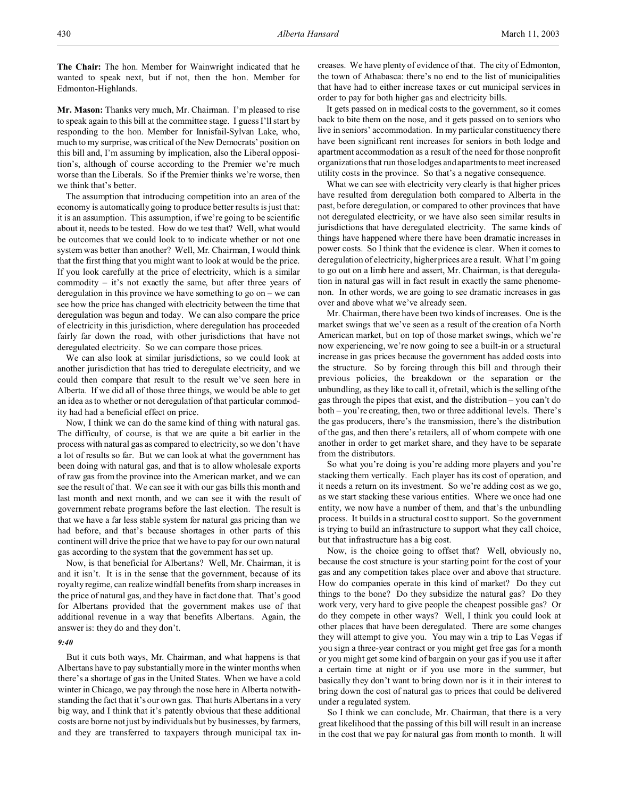**The Chair:** The hon. Member for Wainwright indicated that he wanted to speak next, but if not, then the hon. Member for Edmonton-Highlands.

**Mr. Mason:** Thanks very much, Mr. Chairman. I'm pleased to rise to speak again to this bill at the committee stage. I guess I'll start by responding to the hon. Member for Innisfail-Sylvan Lake, who, much to my surprise, was critical of the New Democrats' position on this bill and, I'm assuming by implication, also the Liberal opposition's, although of course according to the Premier we're much worse than the Liberals. So if the Premier thinks we're worse, then we think that's better.

The assumption that introducing competition into an area of the economy is automatically going to produce better results is just that: it is an assumption. This assumption, if we're going to be scientific about it, needs to be tested. How do we test that? Well, what would be outcomes that we could look to to indicate whether or not one system was better than another? Well, Mr. Chairman, I would think that the first thing that you might want to look at would be the price. If you look carefully at the price of electricity, which is a similar commodity – it's not exactly the same, but after three years of deregulation in this province we have something to go on – we can see how the price has changed with electricity between the time that deregulation was begun and today. We can also compare the price of electricity in this jurisdiction, where deregulation has proceeded fairly far down the road, with other jurisdictions that have not deregulated electricity. So we can compare those prices.

We can also look at similar jurisdictions, so we could look at another jurisdiction that has tried to deregulate electricity, and we could then compare that result to the result we've seen here in Alberta. If we did all of those three things, we would be able to get an idea as to whether or not deregulation of that particular commodity had had a beneficial effect on price.

Now, I think we can do the same kind of thing with natural gas. The difficulty, of course, is that we are quite a bit earlier in the process with natural gas as compared to electricity, so we don't have a lot of results so far. But we can look at what the government has been doing with natural gas, and that is to allow wholesale exports of raw gas from the province into the American market, and we can see the result of that. We can see it with our gas bills this month and last month and next month, and we can see it with the result of government rebate programs before the last election. The result is that we have a far less stable system for natural gas pricing than we had before, and that's because shortages in other parts of this continent will drive the price that we have to pay for our own natural gas according to the system that the government has set up.

Now, is that beneficial for Albertans? Well, Mr. Chairman, it is and it isn't. It is in the sense that the government, because of its royalty regime, can realize windfall benefits from sharp increases in the price of natural gas, and they have in fact done that. That's good for Albertans provided that the government makes use of that additional revenue in a way that benefits Albertans. Again, the answer is: they do and they don't.

### *9:40*

But it cuts both ways, Mr. Chairman, and what happens is that Albertans have to pay substantially more in the winter months when there's a shortage of gas in the United States. When we have a cold winter in Chicago, we pay through the nose here in Alberta notwithstanding the fact that it's our own gas. That hurts Albertans in a very big way, and I think that it's patently obvious that these additional costs are borne not just by individuals but by businesses, by farmers, and they are transferred to taxpayers through municipal tax increases. We have plenty of evidence of that. The city of Edmonton, the town of Athabasca: there's no end to the list of municipalities that have had to either increase taxes or cut municipal services in order to pay for both higher gas and electricity bills.

It gets passed on in medical costs to the government, so it comes back to bite them on the nose, and it gets passed on to seniors who live in seniors' accommodation. In my particular constituency there have been significant rent increases for seniors in both lodge and apartment accommodation as a result of the need for those nonprofit organizations that run those lodges and apartments to meet increased utility costs in the province. So that's a negative consequence.

What we can see with electricity very clearly is that higher prices have resulted from deregulation both compared to Alberta in the past, before deregulation, or compared to other provinces that have not deregulated electricity, or we have also seen similar results in jurisdictions that have deregulated electricity. The same kinds of things have happened where there have been dramatic increases in power costs. So I think that the evidence is clear. When it comes to deregulation of electricity, higher prices are a result. What I'm going to go out on a limb here and assert, Mr. Chairman, is that deregulation in natural gas will in fact result in exactly the same phenomenon. In other words, we are going to see dramatic increases in gas over and above what we've already seen.

Mr. Chairman, there have been two kinds of increases. One is the market swings that we've seen as a result of the creation of a North American market, but on top of those market swings, which we're now experiencing, we're now going to see a built-in or a structural increase in gas prices because the government has added costs into the structure. So by forcing through this bill and through their previous policies, the breakdown or the separation or the unbundling, as they like to call it, of retail, which is the selling of the gas through the pipes that exist, and the distribution – you can't do both – you're creating, then, two or three additional levels. There's the gas producers, there's the transmission, there's the distribution of the gas, and then there's retailers, all of whom compete with one another in order to get market share, and they have to be separate from the distributors.

So what you're doing is you're adding more players and you're stacking them vertically. Each player has its cost of operation, and it needs a return on its investment. So we're adding cost as we go, as we start stacking these various entities. Where we once had one entity, we now have a number of them, and that's the unbundling process. It builds in a structural cost to support. So the government is trying to build an infrastructure to support what they call choice, but that infrastructure has a big cost.

Now, is the choice going to offset that? Well, obviously no, because the cost structure is your starting point for the cost of your gas and any competition takes place over and above that structure. How do companies operate in this kind of market? Do they cut things to the bone? Do they subsidize the natural gas? Do they work very, very hard to give people the cheapest possible gas? Or do they compete in other ways? Well, I think you could look at other places that have been deregulated. There are some changes they will attempt to give you. You may win a trip to Las Vegas if you sign a three-year contract or you might get free gas for a month or you might get some kind of bargain on your gas if you use it after a certain time at night or if you use more in the summer, but basically they don't want to bring down nor is it in their interest to bring down the cost of natural gas to prices that could be delivered under a regulated system.

So I think we can conclude, Mr. Chairman, that there is a very great likelihood that the passing of this bill will result in an increase in the cost that we pay for natural gas from month to month. It will